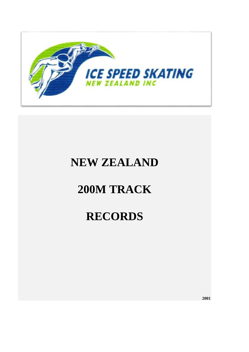

## **NEW ZEALAND**

# **200M TRACK**

# **RECORDS**

**2001**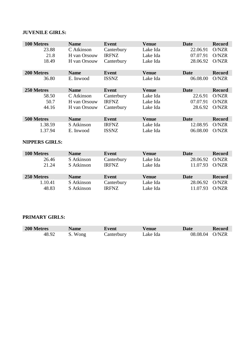## **JUVENILE GIRLS:**

| 100 Metres | <b>Name</b>  | <b>Event</b> | <b>Venue</b> | <b>Date</b> | <b>Record</b> |
|------------|--------------|--------------|--------------|-------------|---------------|
| 23.88      | C Atkinson   | Canterbury   | Lake Ida     | 22.06.91    | O/NZR         |
| 21.8       | H van Orsouw | <b>IRFNZ</b> | Lake Ida     | 07.07.91    | O/NZR         |
| 18.49      | H van Orsouw | Canterbury   | Lake Ida     | 28.06.92    | O/NZR         |
| 200 Metres | <b>Name</b>  | <b>Event</b> | <b>Venue</b> | Date        | <b>Record</b> |
| 36.80      | E. Inwood    | <b>ISSNZ</b> | Lake Ida     | 06.08.00    | O/NZR         |
|            |              |              |              |             |               |
| 250 Metres | <b>Name</b>  | Event        | <b>Venue</b> | <b>Date</b> | <b>Record</b> |
| 58.50      | C Atkinson   | Canterbury   | Lake Ida     | 22.6.91     | O/NZR         |
| 50.7       | H van Orsouw | <b>IRFNZ</b> | Lake Ida     | 07.07.91    | O/NZR         |
| 44.16      | H van Orsouw | Canterbury   | Lake Ida     | 28.6.92     | O/NZR         |
|            |              |              |              |             |               |
| 500 Metres | <b>Name</b>  | <b>Event</b> | <b>Venue</b> | Date        | <b>Record</b> |
| 1.38.59    | S Atkinson   | <b>IRFNZ</b> | Lake Ida     | 12.08.95    | O/NZR         |

## **NIPPERS GIRLS:**

| 100 Metres | <b>Name</b> | Event        | <b>Venue</b> | Date     | <b>Record</b> |
|------------|-------------|--------------|--------------|----------|---------------|
| 26.46      | S Atkinson  | Canterbury   | Lake Ida     | 28.06.92 | O/NZR         |
| 21.24      | S Atkinson  | <b>IRFNZ</b> | Lake Ida     | 11.07.93 | O/NZR         |
| 250 Metres | <b>Name</b> | Event        | <b>Venue</b> | Date     | <b>Record</b> |
| 1.10.41    | S Atkinson  | Canterbury   | Lake Ida     | 28.06.92 | O/NZR         |
| 48.83      | S Atkinson  | <b>IRFNZ</b> | Lake Ida     | 11.07.93 | O/NZR         |

## **PRIMARY GIRLS:**

| 200 Metres | <b>Name</b> | Event      | <b>Venue</b> | <b>Date</b>    | Record |
|------------|-------------|------------|--------------|----------------|--------|
| 48.92      | S. Wong     | Canterbury | ∟ake Ida     | 08.08.04 O/NZR |        |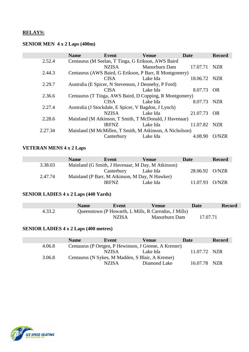## **RELAYS:**

## **SENIOR MEN 4 x 2 Laps (400m)**

|         | <b>Name</b> | Event                                                | <b>Venue</b>                                            | Date         | <b>Record</b> |
|---------|-------------|------------------------------------------------------|---------------------------------------------------------|--------------|---------------|
| 2.52.4  |             |                                                      | Centaurus (M Seelan, T Tinga, G Erikson, AWS Baird      |              |               |
|         |             | <b>NZISA</b>                                         | Manorburn Dam                                           | 17.07.71     | <b>NZR</b>    |
| 2.44.3  |             |                                                      | Centaurus (AWS Baird, G Erikson, P Barr, R Montgomery)  |              |               |
|         |             | <b>CISA</b>                                          | Lake Ida                                                | 18.06.72 NZR |               |
| 2.29.7  |             | Australia (E Spicer, N Stevenson, J Dennehy, P Ford) |                                                         |              |               |
|         |             | <b>CISA</b>                                          | Lake Ida                                                | 8.07.73 OR   |               |
| 2.36.6  |             |                                                      | Centaurus (T Tinga, AWS Baird, D Copping, R Montgomery) |              |               |
|         |             | <b>CISA</b>                                          | Lake Ida                                                | 8.07.73 NZR  |               |
| 2.27.4  |             | Australia (J Stockdale, E Spicer, V Bagdon, J Lynch) |                                                         |              |               |
|         |             | <b>NZISA</b>                                         | Lake Ida                                                | 21.07.73     | - OR          |
| 2.28.6  |             |                                                      | Mainland (M Atkinson, T Smith, T McDonald, J Havenaar)  |              |               |
|         |             | <b>IRFNZ</b>                                         | Lake Ida                                                | 11.07.82     | <b>NZR</b>    |
| 2.27.34 |             |                                                      | Mainland (M McMillen, T Smith, M Atkinson, A Nicholson) |              |               |
|         |             | Canterbury                                           | Lake Ida                                                | 4.08.90      | O/NZR         |

#### **VETERAN MENS 4 x 2 Laps**

|         | <b>Name</b> | Event                                             | <b>Venue</b> | Date           | <b>Record</b> |
|---------|-------------|---------------------------------------------------|--------------|----------------|---------------|
| 3.38.03 |             | Mainland (G Smith, J Havenaar, M Day, M Atkinson) |              |                |               |
|         |             | Canterbury Lake Ida                               |              | 28.06.92 O/NZR |               |
| 2.47.74 |             | Mainland (P Barr, M Atkinson, M Day, N Hawker)    |              |                |               |
|         |             | IRFNZ.                                            | Lake Ida     | 11.07.93 O/NZR |               |

#### **SENIOR LADIES 4 x 2 Laps (440 Yards)**

|        | <b>Name</b> | Event        | Venue                                                | <b>Date</b> | <b>Record</b> |
|--------|-------------|--------------|------------------------------------------------------|-------------|---------------|
| 4.33.2 |             |              | Queenstown (P Howarth, L Mills, R Carrodus, J Mills) |             |               |
|        |             | <b>NZISA</b> | Manorburn Dam                                        | 17.07.71    |               |

## **SENIOR LADIES 4 x 2 Laps (400 metres)**

|        | <b>Name</b> | Event                                            | Venue                                                | Date         | <b>Record</b> |
|--------|-------------|--------------------------------------------------|------------------------------------------------------|--------------|---------------|
| 4.06.8 |             |                                                  | Centaurus (P Oetgen, P Hewinson, J Greene, A Kremer) |              |               |
|        |             | <b>NZISA</b>                                     | Lake Ida                                             | 11.07.72 NZR |               |
| 3.06.8 |             | Centaurus (N Sykes, M Madden, S Blair, A Kremer) |                                                      |              |               |
|        |             | <b>NZISA</b>                                     | Diamond Lake                                         | 16.07.78 NZR |               |

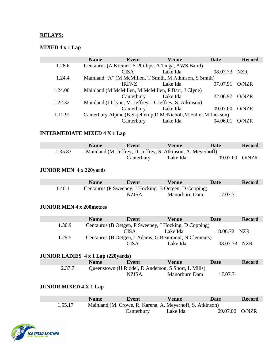### **RELAYS:**

## **MIXED 4 x 1 Lap**

|         | <b>Name</b> | Event               | <b>Venue</b>                                                    | Date     | <b>Record</b> |
|---------|-------------|---------------------|-----------------------------------------------------------------|----------|---------------|
| 1.28.6  |             |                     | Centaurus (A Kremer, S Phillips, A Tinga, AWS Baird)            |          |               |
|         |             | <b>CISA</b>         | Lake Ida                                                        | 08.07.73 | NZR           |
| 1.24.4  |             |                     | Mainland "A" (M McMillen, T Smith, M Atkinson, S Smith)         |          |               |
|         |             | <b>IRFNZ</b>        | Lake Ida                                                        | 07.07.91 | O/NZR         |
| 1.24.00 |             |                     | Mainland (M McMillen, M McMillen, P Barr, J Clyne)              |          |               |
|         |             | Canterbury Lake Ida |                                                                 | 22.06.97 | O/NZR         |
| 1.22.32 |             |                     | Mainland (J Clyne, M. Jeffrey, D. Jeffrey, S. Atkinson)         |          |               |
|         |             | Canterbury Lake Ida |                                                                 | 09.07.00 | O/NZR         |
| 1.12.91 |             |                     | Canterbury Alpine (B.Skjellerup,D.McNicholl,M.Fuller,M.Jackson) |          |               |
|         |             | Canterbury          | Lake Ida                                                        | 04.06.01 | O/NZR         |

## **INTERMEDIATE MIXED 4 X 1 Lap**

|         | <b>Name</b> | Event      | Venue                                                        | Date           | <b>Record</b> |
|---------|-------------|------------|--------------------------------------------------------------|----------------|---------------|
| 1.35.83 |             |            | Mainland (M. Jeffrey, D. Jeffrey, S. Atkinson, A. Meyerhoff) |                |               |
|         |             | Canterbury | Lake Ida                                                     | 09.07.00 O/NZR |               |

### **JUNIOR MEN 4 x 220yards**

|        | <b>Name</b> | Event  | <b>Venue</b>                                          | Date     | <b>Record</b> |
|--------|-------------|--------|-------------------------------------------------------|----------|---------------|
| 1.40.1 |             |        | Centaurus (P Sweeney, J Hocking, B Oetgen, D Copping) |          |               |
|        |             | NZIS A | Manorburn Dam                                         | 17.07.71 |               |

#### **JUNIOR MEN 4 x 200metres**

|        | <b>Name</b> | Event | Venue                                                 | Date         | <b>Record</b> |
|--------|-------------|-------|-------------------------------------------------------|--------------|---------------|
| 1.30.9 |             |       | Centaurus (B Oetgen, P Sweeney, J Hocking, D Copping) |              |               |
|        |             | CISA  | Lake Ida                                              | 18.06.72 NZR |               |
| 1.29.5 |             |       | Centaurus (B Oetgen, J Adams, G Beaumont, N Clements) |              |               |
|        |             | ~ISA  | Lake Ida                                              | 08.07.73 NZR |               |

### **JUNIOR LADIES 4 x 1 Lap (220yards)**

|        | <b>Name</b> | Event                                               | Venue         | Date     | <b>Record</b> |
|--------|-------------|-----------------------------------------------------|---------------|----------|---------------|
| 2.37.7 |             | Queenstown (H Riddel, D Anderson, S Short, L Mills) |               |          |               |
|        |             | <b>NZISA</b>                                        | Manorburn Dam | 17.07.71 |               |

### **JUNIOR MIXED 4 X 1 Lap**

|         | <b>Name</b> | Event      | <b>Venue</b>                                              | <b>Date</b>    | <b>Record</b> |
|---------|-------------|------------|-----------------------------------------------------------|----------------|---------------|
| 1.55.17 |             |            | Mainland (M. Crowe, R. Karena, A. Meyerhoff, S. Atkinson) |                |               |
|         |             | Canterbury | Lake Ida                                                  | 09.07.00 O/NZR |               |